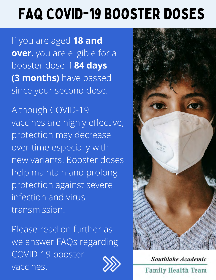## FAQ COVID-19 Booster Doses

If you are aged **18 and over**, you are eligible for a booster dose if **84 days (3 months)** have passed since your second dose.

Although COVID-19 vaccines are highly effective, protection may decrease over time especially with new variants. Booster doses help maintain and prolong protection against severe infection and virus transmission.

Please read on further as we answer FAQs regarding COVID-19 booster vaccines.



Southlake Academic **Family Health Team**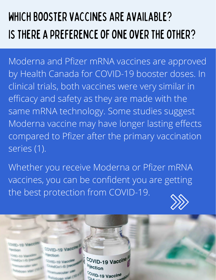#### Which booster vaccines are available? Is there a preference of one over the other?

Moderna and Pfizer mRNA vaccines are approved by Health Canada for COVID-19 booster doses. In clinical trials, both vaccines were very similar in efficacy and safety as they are made with the same mRNA technology. Some studies suggest Moderna vaccine may have longer lasting effects compared to Pfizer after the primary vaccination series (1).

Whether you receive Moderna or Pfizer mRNA vaccines, you can be confident you are getting the best protection from COVID-19.



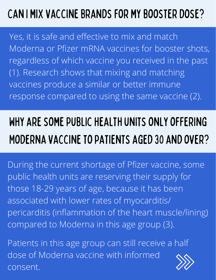#### Can I mix vaccine brands for my booster dose?

Yes, it is safe and effective to mix and match Moderna or Pfizer mRNA vaccines for booster shots, regardless of which vaccine you received in the past (1). Research shows that mixing and matching vaccines produce a similar or better immune response compared to using the same vaccine (2).

### Why are some public health units only offering Moderna vaccine to patients aged 30 and over?

During the current shortage of Pfizer vaccine, some public health units are reserving their supply for those 18-29 years of age, because it has been associated with lower rates of myocarditis/ pericarditis (inflammation of the heart muscle/lining) compared to Moderna in this age group (3).

Patients in this age group can still receive a half dose of Moderna vaccine with informed consent.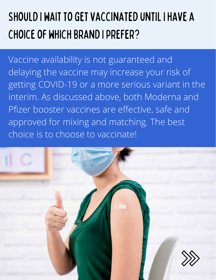#### Should I wait to get vaccinated until I have a choice of which brand I prefer?

Vaccine availability is not guaranteed and delaying the vaccine may increase your risk of getting COVID-19 or a more serious variant in the interim. As discussed above, both Moderna and Pfizer booster vaccines are effective, safe and approved for mixing and matching. The best choice is to choose to vaccinate!